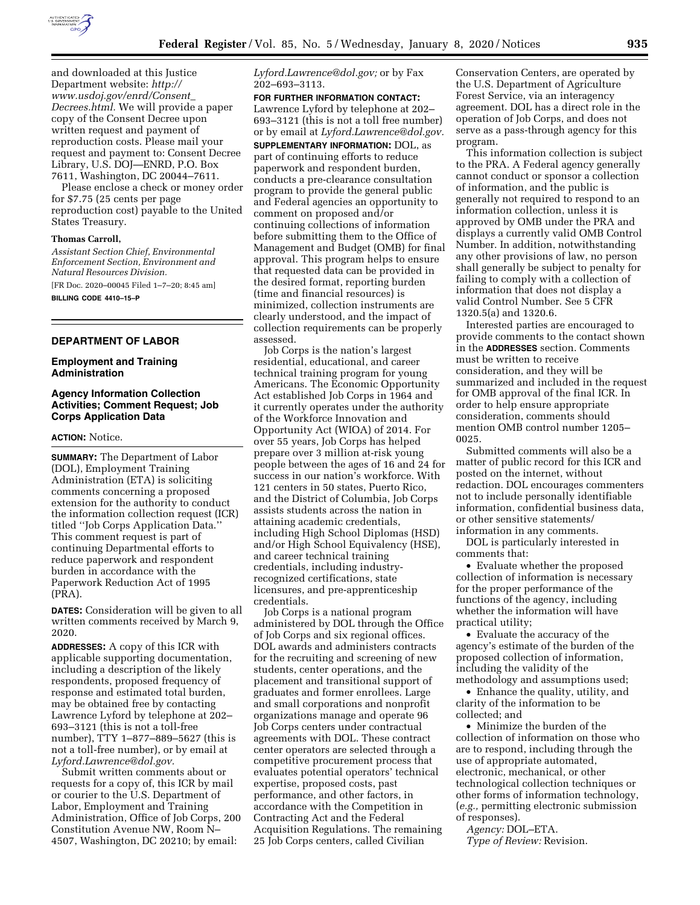

and downloaded at this Justice Department website: *[http://](http://www.usdoj.gov/enrd/Consent_Decrees.html) [www.usdoj.gov/enrd/Consent](http://www.usdoj.gov/enrd/Consent_Decrees.html)*\_ *[Decrees.html.](http://www.usdoj.gov/enrd/Consent_Decrees.html)* We will provide a paper copy of the Consent Decree upon written request and payment of reproduction costs. Please mail your request and payment to: Consent Decree Library, U.S. DOJ—ENRD, P.O. Box 7611, Washington, DC 20044–7611.

Please enclose a check or money order for \$7.75 (25 cents per page reproduction cost) payable to the United States Treasury.

#### **Thomas Carroll,**

*Assistant Section Chief, Environmental Enforcement Section, Environment and Natural Resources Division.* 

[FR Doc. 2020–00045 Filed 1–7–20; 8:45 am] **BILLING CODE 4410–15–P** 

## **DEPARTMENT OF LABOR**

## **Employment and Training Administration**

## **Agency Information Collection Activities; Comment Request; Job Corps Application Data**

### **ACTION:** Notice.

**SUMMARY:** The Department of Labor (DOL), Employment Training Administration (ETA) is soliciting comments concerning a proposed extension for the authority to conduct the information collection request (ICR) titled ''Job Corps Application Data.'' This comment request is part of continuing Departmental efforts to reduce paperwork and respondent burden in accordance with the Paperwork Reduction Act of 1995 (PRA).

**DATES:** Consideration will be given to all written comments received by March 9, 2020.

**ADDRESSES:** A copy of this ICR with applicable supporting documentation, including a description of the likely respondents, proposed frequency of response and estimated total burden, may be obtained free by contacting Lawrence Lyford by telephone at 202– 693–3121 (this is not a toll-free number), TTY 1–877–889–5627 (this is not a toll-free number), or by email at *[Lyford.Lawrence@dol.gov.](mailto:Lyford.Lawrence@dol.gov)* 

Submit written comments about or requests for a copy of, this ICR by mail or courier to the U.S. Department of Labor, Employment and Training Administration, Office of Job Corps, 200 Constitution Avenue NW, Room N– 4507, Washington, DC 20210; by email:

*[Lyford.Lawrence@dol.gov;](mailto:Lyford.Lawrence@dol.gov)* or by Fax 202–693–3113.

**FOR FURTHER INFORMATION CONTACT:**  Lawrence Lyford by telephone at 202– 693–3121 (this is not a toll free number) or by email at *[Lyford.Lawrence@dol.gov.](mailto:Lyford.Lawrence@dol.gov)*  **SUPPLEMENTARY INFORMATION:** DOL, as part of continuing efforts to reduce paperwork and respondent burden, conducts a pre-clearance consultation program to provide the general public and Federal agencies an opportunity to comment on proposed and/or continuing collections of information before submitting them to the Office of Management and Budget (OMB) for final approval. This program helps to ensure that requested data can be provided in the desired format, reporting burden (time and financial resources) is minimized, collection instruments are clearly understood, and the impact of collection requirements can be properly assessed.

Job Corps is the nation's largest residential, educational, and career technical training program for young Americans. The Economic Opportunity Act established Job Corps in 1964 and it currently operates under the authority of the Workforce Innovation and Opportunity Act (WIOA) of 2014. For over 55 years, Job Corps has helped prepare over 3 million at-risk young people between the ages of 16 and 24 for success in our nation's workforce. With 121 centers in 50 states, Puerto Rico, and the District of Columbia, Job Corps assists students across the nation in attaining academic credentials, including High School Diplomas (HSD) and/or High School Equivalency (HSE), and career technical training credentials, including industryrecognized certifications, state licensures, and pre-apprenticeship credentials.

Job Corps is a national program administered by DOL through the Office of Job Corps and six regional offices. DOL awards and administers contracts for the recruiting and screening of new students, center operations, and the placement and transitional support of graduates and former enrollees. Large and small corporations and nonprofit organizations manage and operate 96 Job Corps centers under contractual agreements with DOL. These contract center operators are selected through a competitive procurement process that evaluates potential operators' technical expertise, proposed costs, past performance, and other factors, in accordance with the Competition in Contracting Act and the Federal Acquisition Regulations. The remaining 25 Job Corps centers, called Civilian

Conservation Centers, are operated by the U.S. Department of Agriculture Forest Service, via an interagency agreement. DOL has a direct role in the operation of Job Corps, and does not serve as a pass-through agency for this program.

This information collection is subject to the PRA. A Federal agency generally cannot conduct or sponsor a collection of information, and the public is generally not required to respond to an information collection, unless it is approved by OMB under the PRA and displays a currently valid OMB Control Number. In addition, notwithstanding any other provisions of law, no person shall generally be subject to penalty for failing to comply with a collection of information that does not display a valid Control Number. See 5 CFR 1320.5(a) and 1320.6.

Interested parties are encouraged to provide comments to the contact shown in the **ADDRESSES** section. Comments must be written to receive consideration, and they will be summarized and included in the request for OMB approval of the final ICR. In order to help ensure appropriate consideration, comments should mention OMB control number 1205– 0025.

Submitted comments will also be a matter of public record for this ICR and posted on the internet, without redaction. DOL encourages commenters not to include personally identifiable information, confidential business data, or other sensitive statements/ information in any comments.

DOL is particularly interested in comments that:

• Evaluate whether the proposed collection of information is necessary for the proper performance of the functions of the agency, including whether the information will have practical utility;

• Evaluate the accuracy of the agency's estimate of the burden of the proposed collection of information, including the validity of the methodology and assumptions used;

• Enhance the quality, utility, and clarity of the information to be collected; and

• Minimize the burden of the collection of information on those who are to respond, including through the use of appropriate automated, electronic, mechanical, or other technological collection techniques or other forms of information technology, (*e.g.,* permitting electronic submission of responses).

*Agency:* DOL–ETA. *Type of Review:* Revision.